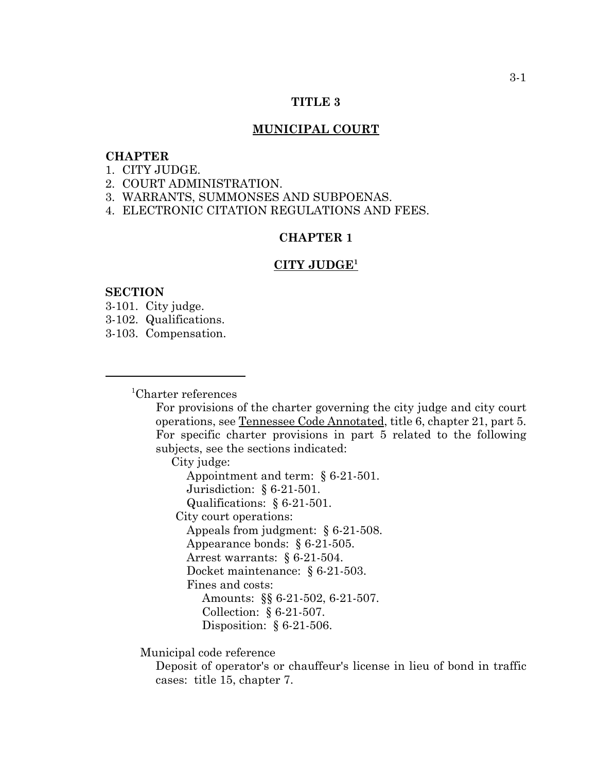### **TITLE 3**

### **MUNICIPAL COURT**

# **CHAPTER**

- 1. CITY JUDGE.
- 2. COURT ADMINISTRATION.
- 3. WARRANTS, SUMMONSES AND SUBPOENAS.
- 4. ELECTRONIC CITATION REGULATIONS AND FEES.

# **CHAPTER 1**

#### **CITY JUDGE<sup>1</sup>**

### **SECTION**

- 3-101. City judge.
- 3-102. Qualifications.
- 3-103. Compensation.

<sup>1</sup> Charter references

For provisions of the charter governing the city judge and city court operations, see Tennessee Code Annotated, title 6, chapter 21, part 5. For specific charter provisions in part 5 related to the following subjects, see the sections indicated:

City judge:

Appointment and term: § 6-21-501. Jurisdiction: § 6-21-501. Qualifications: § 6-21-501.

City court operations:

Appeals from judgment: § 6-21-508.

Appearance bonds: § 6-21-505.

Arrest warrants: § 6-21-504.

Docket maintenance: § 6-21-503.

Fines and costs:

Amounts: §§ 6-21-502, 6-21-507.

Collection: § 6-21-507.

Disposition: § 6-21-506.

Municipal code reference

Deposit of operator's or chauffeur's license in lieu of bond in traffic cases: title 15, chapter 7.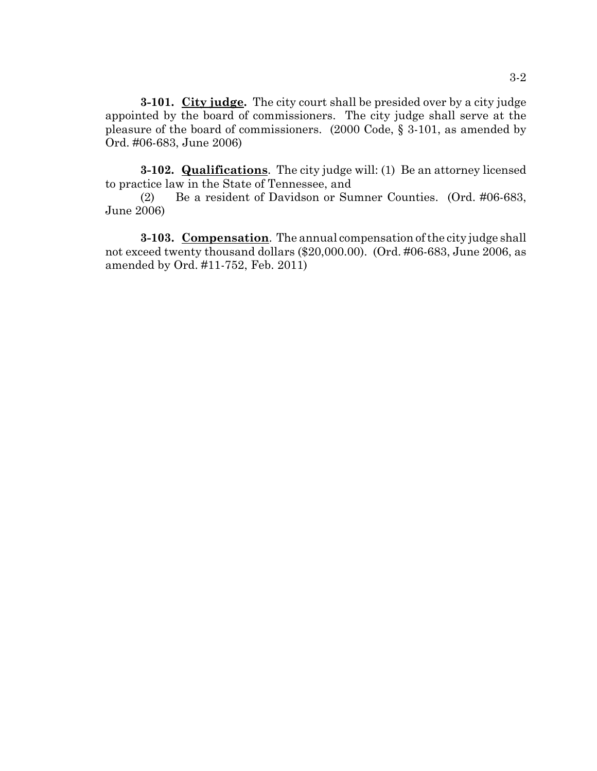**3-101. City judge.** The city court shall be presided over by a city judge appointed by the board of commissioners. The city judge shall serve at the pleasure of the board of commissioners. (2000 Code, § 3-101, as amended by Ord. #06-683, June 2006)

**3-102. Qualifications**. The city judge will: (1) Be an attorney licensed to practice law in the State of Tennessee, and

(2) Be a resident of Davidson or Sumner Counties. (Ord. #06-683, June 2006)

**3-103. Compensation**. The annual compensation of the city judge shall not exceed twenty thousand dollars (\$20,000.00). (Ord. #06-683, June 2006, as amended by Ord. #11-752, Feb. 2011)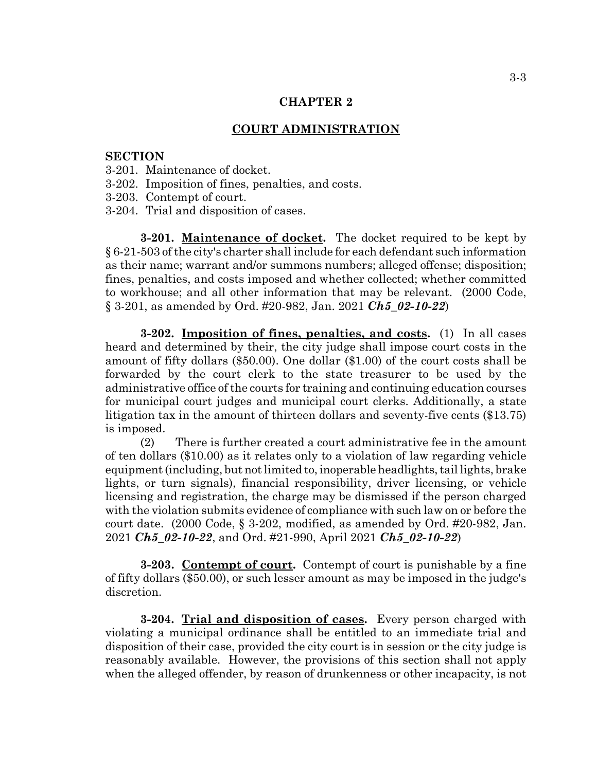## **CHAPTER 2**

#### **COURT ADMINISTRATION**

# **SECTION**

- 3-201. Maintenance of docket.
- 3-202. Imposition of fines, penalties, and costs.
- 3-203. Contempt of court.
- 3-204. Trial and disposition of cases.

**3-201. Maintenance of docket.** The docket required to be kept by § 6-21-503 of the city's charter shall include for each defendant such information as their name; warrant and/or summons numbers; alleged offense; disposition; fines, penalties, and costs imposed and whether collected; whether committed to workhouse; and all other information that may be relevant. (2000 Code, § 3-201, as amended by Ord. #20-982, Jan. 2021 *Ch5\_02-10-22*)

**3-202. Imposition of fines, penalties, and costs.** (1) In all cases heard and determined by their, the city judge shall impose court costs in the amount of fifty dollars (\$50.00). One dollar (\$1.00) of the court costs shall be forwarded by the court clerk to the state treasurer to be used by the administrative office of the courts for training and continuing education courses for municipal court judges and municipal court clerks. Additionally, a state litigation tax in the amount of thirteen dollars and seventy-five cents (\$13.75) is imposed.

(2) There is further created a court administrative fee in the amount of ten dollars (\$10.00) as it relates only to a violation of law regarding vehicle equipment (including, but not limited to, inoperable headlights, tail lights, brake lights, or turn signals), financial responsibility, driver licensing, or vehicle licensing and registration, the charge may be dismissed if the person charged with the violation submits evidence of compliance with such law on or before the court date. (2000 Code, § 3-202, modified, as amended by Ord. #20-982, Jan. 2021 *Ch5\_02-10-22*, and Ord. #21-990, April 2021 *Ch5\_02-10-22*)

**3-203. Contempt of court.** Contempt of court is punishable by a fine of fifty dollars (\$50.00), or such lesser amount as may be imposed in the judge's discretion.

**3-204. Trial and disposition of cases.** Every person charged with violating a municipal ordinance shall be entitled to an immediate trial and disposition of their case, provided the city court is in session or the city judge is reasonably available. However, the provisions of this section shall not apply when the alleged offender, by reason of drunkenness or other incapacity, is not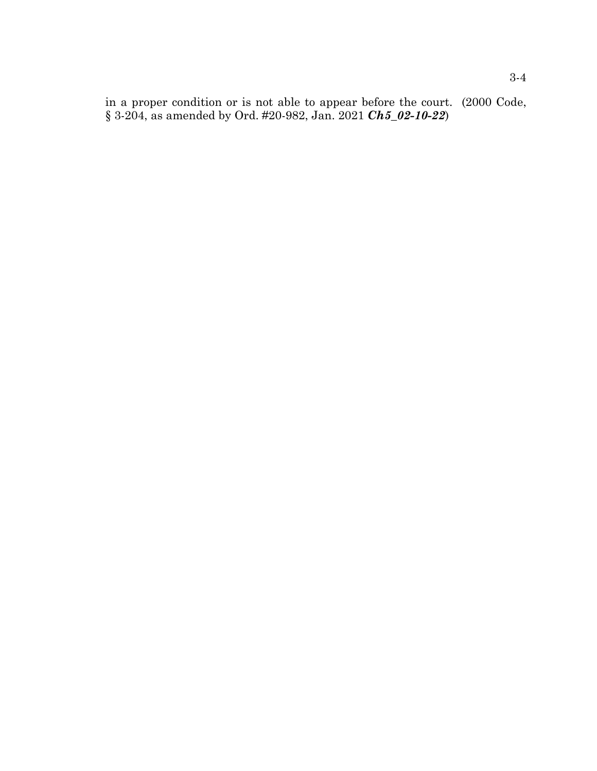in a proper condition or is not able to appear before the court. (2000 Code, § 3-204, as amended by Ord. #20-982, Jan. 2021 *Ch5\_02-10-22*)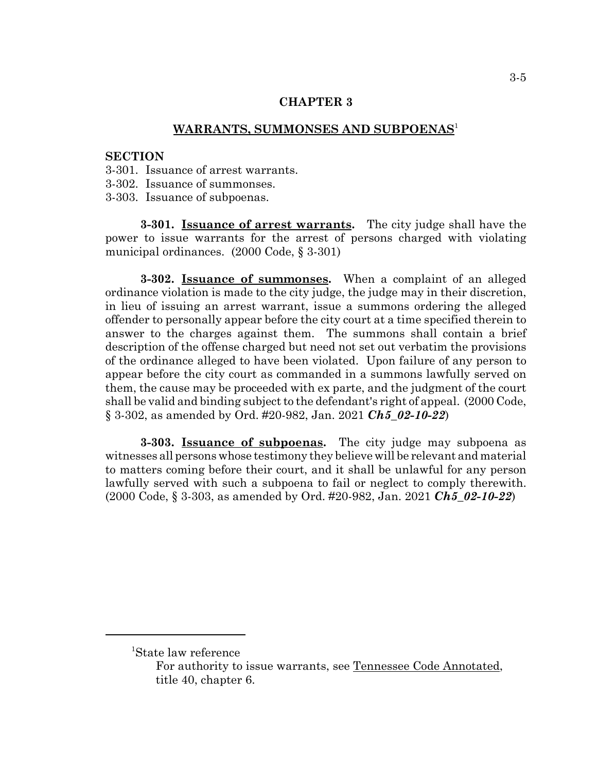# **CHAPTER 3**

### **WARRANTS, SUMMONSES AND SUBPOENAS**<sup>1</sup>

# **SECTION**

- 3-301. Issuance of arrest warrants.
- 3-302. Issuance of summonses.
- 3-303. Issuance of subpoenas.

**3-301. Issuance of arrest warrants.** The city judge shall have the power to issue warrants for the arrest of persons charged with violating municipal ordinances. (2000 Code, § 3-301)

**3-302. Issuance of summonses.** When a complaint of an alleged ordinance violation is made to the city judge, the judge may in their discretion, in lieu of issuing an arrest warrant, issue a summons ordering the alleged offender to personally appear before the city court at a time specified therein to answer to the charges against them. The summons shall contain a brief description of the offense charged but need not set out verbatim the provisions of the ordinance alleged to have been violated. Upon failure of any person to appear before the city court as commanded in a summons lawfully served on them, the cause may be proceeded with ex parte, and the judgment of the court shall be valid and binding subject to the defendant's right of appeal. (2000 Code, § 3-302, as amended by Ord. #20-982, Jan. 2021 *Ch5\_02-10-22*)

**3-303. Issuance of subpoenas.** The city judge may subpoena as witnesses all persons whose testimony they believe will be relevant and material to matters coming before their court, and it shall be unlawful for any person lawfully served with such a subpoena to fail or neglect to comply therewith. (2000 Code, § 3-303, as amended by Ord. #20-982, Jan. 2021 *Ch5\_02-10-22*)

<sup>1</sup> State law reference

For authority to issue warrants, see Tennessee Code Annotated, title 40, chapter 6.